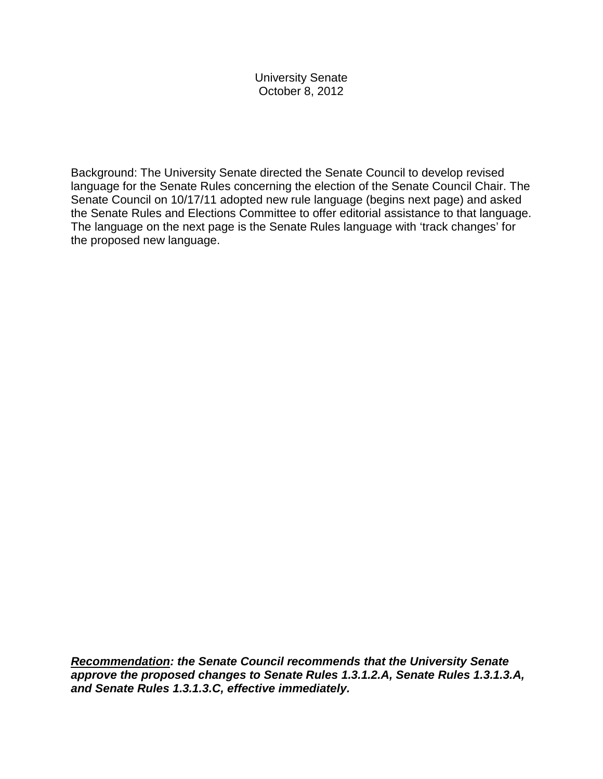University Senate October 8, 2012

Background: The University Senate directed the Senate Council to develop revised language for the Senate Rules concerning the election of the Senate Council Chair. The Senate Council on 10/17/11 adopted new rule language (begins next page) and asked the Senate Rules and Elections Committee to offer editorial assistance to that language. The language on the next page is the Senate Rules language with 'track changes' for the proposed new language.

*Recommendation: the Senate Council recommends that the University Senate approve the proposed changes to Senate Rules 1.3.1.2.A, Senate Rules 1.3.1.3.A, and Senate Rules 1.3.1.3.C, effective immediately.*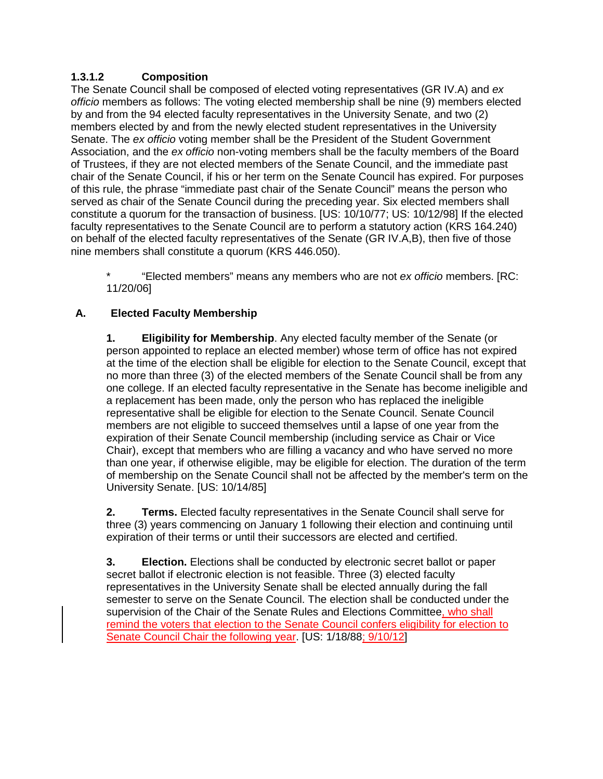## **1.3.1.2 Composition**

The Senate Council shall be composed of elected voting representatives (GR IV.A) and *ex officio* members as follows: The voting elected membership shall be nine (9) members elected by and from the 94 elected faculty representatives in the University Senate, and two (2) members elected by and from the newly elected student representatives in the University Senate. The *ex officio* voting member shall be the President of the Student Government Association, and the *ex officio* non-voting members shall be the faculty members of the Board of Trustees, if they are not elected members of the Senate Council, and the immediate past chair of the Senate Council, if his or her term on the Senate Council has expired. For purposes of this rule, the phrase "immediate past chair of the Senate Council" means the person who served as chair of the Senate Council during the preceding year. Six elected members shall constitute a quorum for the transaction of business. [US: 10/10/77; US: 10/12/98] If the elected faculty representatives to the Senate Council are to perform a statutory action (KRS 164.240) on behalf of the elected faculty representatives of the Senate (GR IV.A,B), then five of those nine members shall constitute a quorum (KRS 446.050).

\* "Elected members" means any members who are not *ex officio* members. [RC: 11/20/06]

# **A. Elected Faculty Membership**

**1. Eligibility for Membership**. Any elected faculty member of the Senate (or person appointed to replace an elected member) whose term of office has not expired at the time of the election shall be eligible for election to the Senate Council, except that no more than three (3) of the elected members of the Senate Council shall be from any one college. If an elected faculty representative in the Senate has become ineligible and a replacement has been made, only the person who has replaced the ineligible representative shall be eligible for election to the Senate Council. Senate Council members are not eligible to succeed themselves until a lapse of one year from the expiration of their Senate Council membership (including service as Chair or Vice Chair), except that members who are filling a vacancy and who have served no more than one year, if otherwise eligible, may be eligible for election. The duration of the term of membership on the Senate Council shall not be affected by the member's term on the University Senate. [US: 10/14/85]

**2. Terms.** Elected faculty representatives in the Senate Council shall serve for three (3) years commencing on January 1 following their election and continuing until expiration of their terms or until their successors are elected and certified.

**3. Election.** Elections shall be conducted by electronic secret ballot or paper secret ballot if electronic election is not feasible. Three (3) elected faculty representatives in the University Senate shall be elected annually during the fall semester to serve on the Senate Council. The election shall be conducted under the supervision of the Chair of the Senate Rules and Elections Committee, who shall remind the voters that election to the Senate Council confers eligibility for election to Senate Council Chair the following year. [US: 1/18/88; 9/10/12]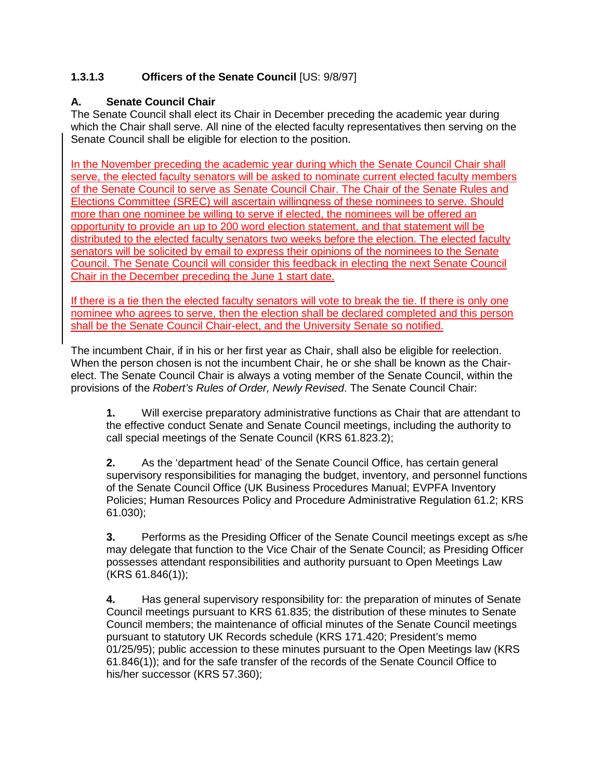# **1.3.1.3 Officers of the Senate Council** [US: 9/8/97]

#### **A. Senate Council Chair**

The Senate Council shall elect its Chair in December preceding the academic year during which the Chair shall serve. All nine of the elected faculty representatives then serving on the Senate Council shall be eligible for election to the position.

In the November preceding the academic year during which the Senate Council Chair shall serve, the elected faculty senators will be asked to nominate current elected faculty members of the Senate Council to serve as Senate Council Chair. The Chair of the Senate Rules and Elections Committee (SREC) will ascertain willingness of these nominees to serve. Should more than one nominee be willing to serve if elected, the nominees will be offered an opportunity to provide an up to 200 word election statement, and that statement will be distributed to the elected faculty senators two weeks before the election. The elected faculty senators will be solicited by email to express their opinions of the nominees to the Senate Council. The Senate Council will consider this feedback in electing the next Senate Council Chair in the December preceding the June 1 start date.

If there is a tie then the elected faculty senators will vote to break the tie. If there is only one nominee who agrees to serve, then the election shall be declared completed and this person shall be the Senate Council Chair-elect, and the University Senate so notified.

The incumbent Chair, if in his or her first year as Chair, shall also be eligible for reelection. When the person chosen is not the incumbent Chair, he or she shall be known as the Chairelect. The Senate Council Chair is always a voting member of the Senate Council, within the provisions of the *Robert's Rules of Order, Newly Revised*. The Senate Council Chair:

**1.** Will exercise preparatory administrative functions as Chair that are attendant to the effective conduct Senate and Senate Council meetings, including the authority to call special meetings of the Senate Council (KRS 61.823.2);

**2.** As the 'department head' of the Senate Council Office, has certain general supervisory responsibilities for managing the budget, inventory, and personnel functions of the Senate Council Office (UK Business Procedures Manual; EVPFA Inventory Policies; Human Resources Policy and Procedure Administrative Regulation 61.2; KRS 61.030);

**3.** Performs as the Presiding Officer of the Senate Council meetings except as s/he may delegate that function to the Vice Chair of the Senate Council; as Presiding Officer possesses attendant responsibilities and authority pursuant to Open Meetings Law (KRS 61.846(1));

**4.** Has general supervisory responsibility for: the preparation of minutes of Senate Council meetings pursuant to KRS 61.835; the distribution of these minutes to Senate Council members; the maintenance of official minutes of the Senate Council meetings pursuant to statutory UK Records schedule (KRS 171.420; President's memo 01/25/95); public accession to these minutes pursuant to the Open Meetings law (KRS 61.846(1)); and for the safe transfer of the records of the Senate Council Office to his/her successor (KRS 57.360);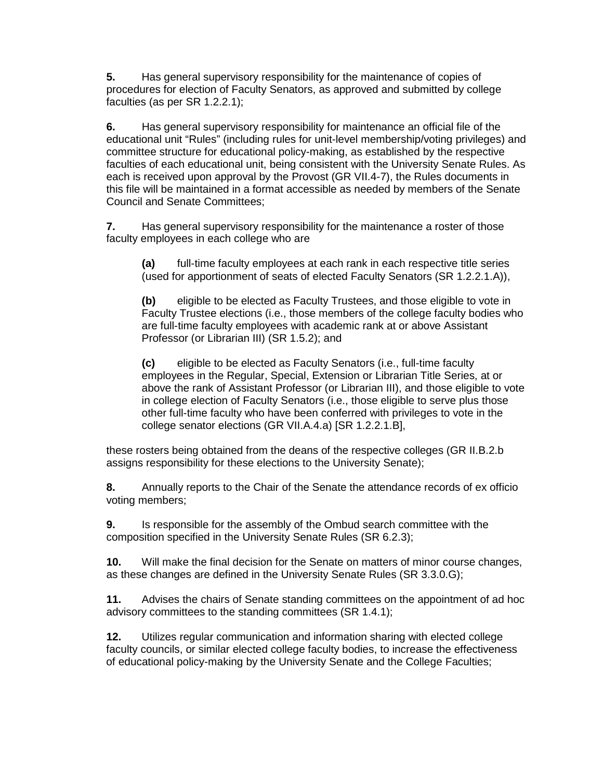**5.** Has general supervisory responsibility for the maintenance of copies of procedures for election of Faculty Senators, as approved and submitted by college faculties (as per SR 1.2.2.1);

**6.** Has general supervisory responsibility for maintenance an official file of the educational unit "Rules" (including rules for unit-level membership/voting privileges) and committee structure for educational policy-making, as established by the respective faculties of each educational unit, being consistent with the University Senate Rules. As each is received upon approval by the Provost (GR VII.4-7), the Rules documents in this file will be maintained in a format accessible as needed by members of the Senate Council and Senate Committees;

**7.** Has general supervisory responsibility for the maintenance a roster of those faculty employees in each college who are

**(a)** full-time faculty employees at each rank in each respective title series (used for apportionment of seats of elected Faculty Senators (SR 1.2.2.1.A)),

**(b)** eligible to be elected as Faculty Trustees, and those eligible to vote in Faculty Trustee elections (i.e., those members of the college faculty bodies who are full-time faculty employees with academic rank at or above Assistant Professor (or Librarian III) (SR 1.5.2); and

**(c)** eligible to be elected as Faculty Senators (i.e., full-time faculty employees in the Regular, Special, Extension or Librarian Title Series, at or above the rank of Assistant Professor (or Librarian III), and those eligible to vote in college election of Faculty Senators (i.e., those eligible to serve plus those other full-time faculty who have been conferred with privileges to vote in the college senator elections (GR VII.A.4.a) [SR 1.2.2.1.B],

these rosters being obtained from the deans of the respective colleges (GR II.B.2.b assigns responsibility for these elections to the University Senate);

**8.** Annually reports to the Chair of the Senate the attendance records of ex officio voting members;

**9.** Is responsible for the assembly of the Ombud search committee with the composition specified in the University Senate Rules (SR 6.2.3);

**10.** Will make the final decision for the Senate on matters of minor course changes, as these changes are defined in the University Senate Rules (SR 3.3.0.G);

**11.** Advises the chairs of Senate standing committees on the appointment of ad hoc advisory committees to the standing committees (SR 1.4.1);

**12.** Utilizes regular communication and information sharing with elected college faculty councils, or similar elected college faculty bodies, to increase the effectiveness of educational policy-making by the University Senate and the College Faculties;